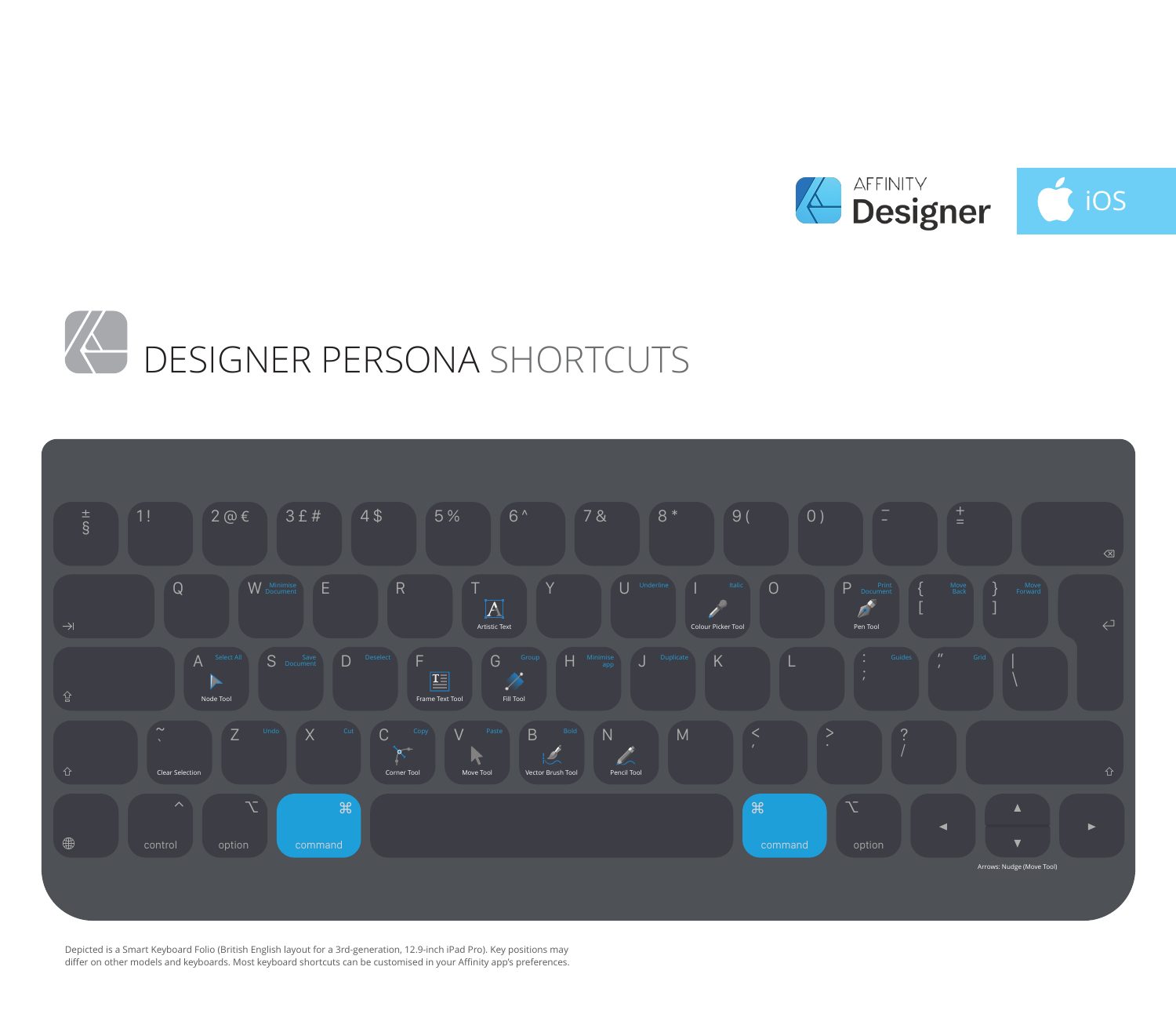

## DESIGNER PERSONA SHORTCUTS



Depicted is a Smart Keyboard Folio (British English layout for a 3rd-generation, 12.9-inch iPad Pro). Key positions may differ on other models and keyboards. Most keyboard shortcuts can be customised in your Affinity app's preferences.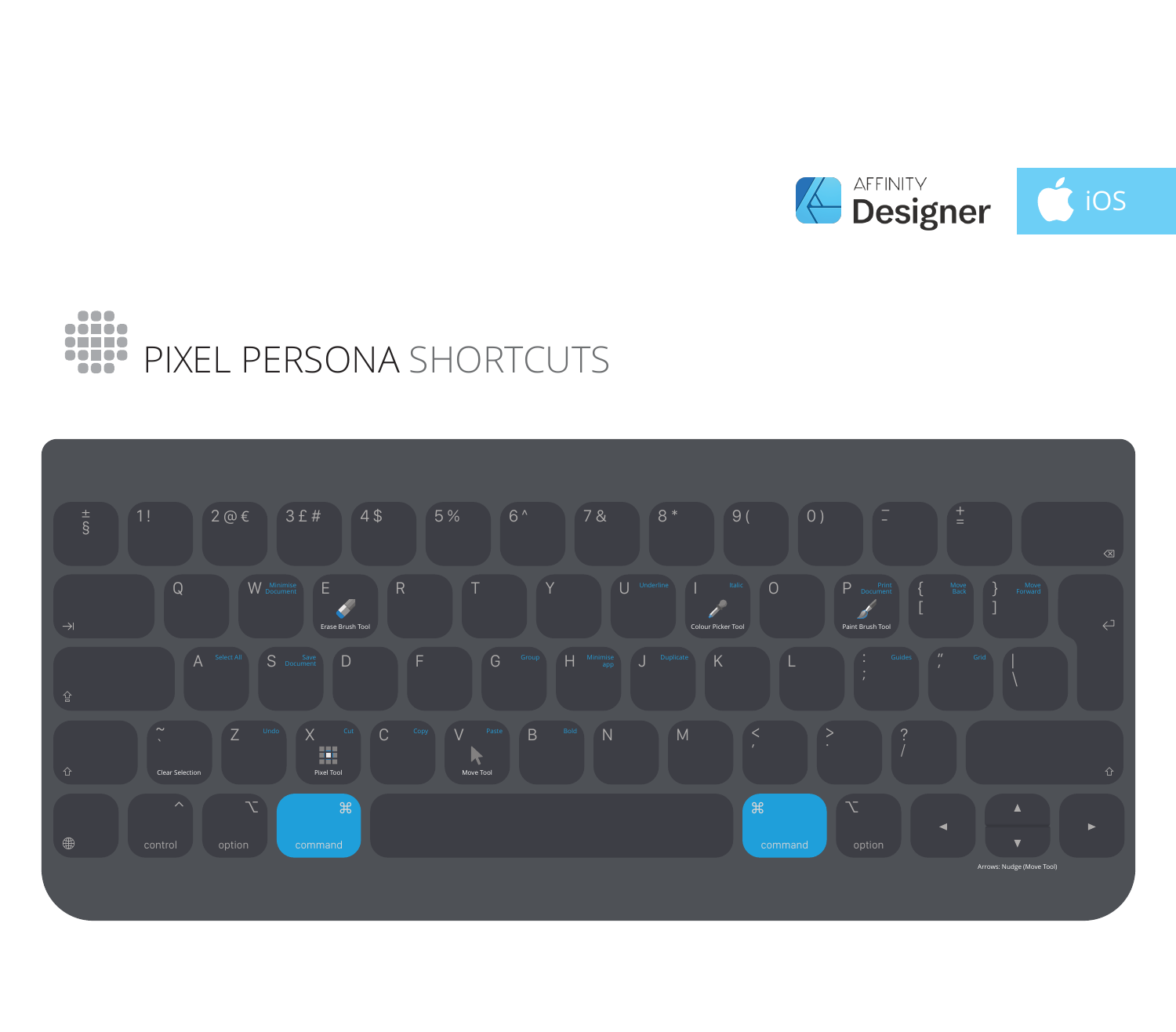

## $\frac{1}{2}$ **CHECO**<br>**COLOR** PIXEL PERSONA SHORTCUTS